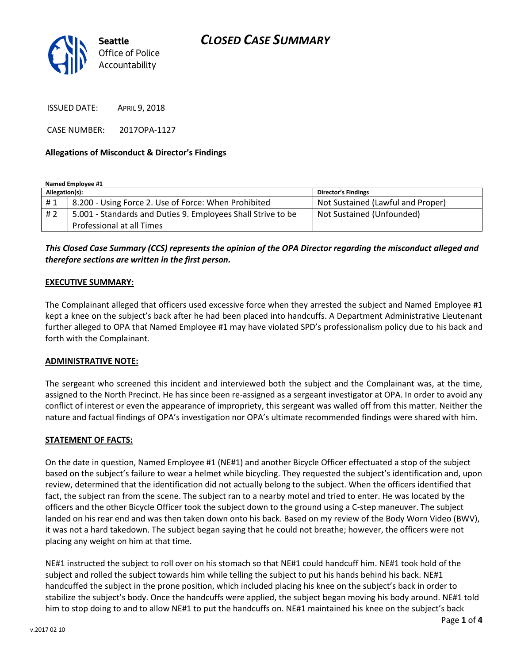

ISSUED DATE: APRIL 9, 2018

CASE NUMBER: 2017OPA-1127

### **Allegations of Misconduct & Director's Findings**

**Named Employee #1**

| Allegation(s): |                                                              | <b>Director's Findings</b>        |
|----------------|--------------------------------------------------------------|-----------------------------------|
| #1             | 8.200 - Using Force 2. Use of Force: When Prohibited         | Not Sustained (Lawful and Proper) |
| # 2            | 5.001 - Standards and Duties 9. Employees Shall Strive to be | Not Sustained (Unfounded)         |
|                | Professional at all Times                                    |                                   |

*This Closed Case Summary (CCS) represents the opinion of the OPA Director regarding the misconduct alleged and therefore sections are written in the first person.* 

### **EXECUTIVE SUMMARY:**

The Complainant alleged that officers used excessive force when they arrested the subject and Named Employee #1 kept a knee on the subject's back after he had been placed into handcuffs. A Department Administrative Lieutenant further alleged to OPA that Named Employee #1 may have violated SPD's professionalism policy due to his back and forth with the Complainant.

#### **ADMINISTRATIVE NOTE:**

The sergeant who screened this incident and interviewed both the subject and the Complainant was, at the time, assigned to the North Precinct. He has since been re-assigned as a sergeant investigator at OPA. In order to avoid any conflict of interest or even the appearance of impropriety, this sergeant was walled off from this matter. Neither the nature and factual findings of OPA's investigation nor OPA's ultimate recommended findings were shared with him.

### **STATEMENT OF FACTS:**

On the date in question, Named Employee #1 (NE#1) and another Bicycle Officer effectuated a stop of the subject based on the subject's failure to wear a helmet while bicycling. They requested the subject's identification and, upon review, determined that the identification did not actually belong to the subject. When the officers identified that fact, the subject ran from the scene. The subject ran to a nearby motel and tried to enter. He was located by the officers and the other Bicycle Officer took the subject down to the ground using a C-step maneuver. The subject landed on his rear end and was then taken down onto his back. Based on my review of the Body Worn Video (BWV), it was not a hard takedown. The subject began saying that he could not breathe; however, the officers were not placing any weight on him at that time.

NE#1 instructed the subject to roll over on his stomach so that NE#1 could handcuff him. NE#1 took hold of the subject and rolled the subject towards him while telling the subject to put his hands behind his back. NE#1 handcuffed the subject in the prone position, which included placing his knee on the subject's back in order to stabilize the subject's body. Once the handcuffs were applied, the subject began moving his body around. NE#1 told him to stop doing to and to allow NE#1 to put the handcuffs on. NE#1 maintained his knee on the subject's back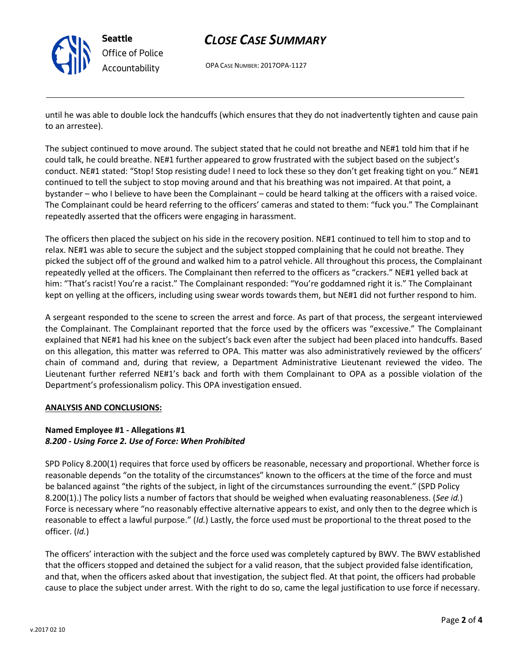

## *CLOSE CASE SUMMARY*

OPA CASE NUMBER: 2017OPA-1127

until he was able to double lock the handcuffs (which ensures that they do not inadvertently tighten and cause pain to an arrestee).

The subject continued to move around. The subject stated that he could not breathe and NE#1 told him that if he could talk, he could breathe. NE#1 further appeared to grow frustrated with the subject based on the subject's conduct. NE#1 stated: "Stop! Stop resisting dude! I need to lock these so they don't get freaking tight on you." NE#1 continued to tell the subject to stop moving around and that his breathing was not impaired. At that point, a bystander – who I believe to have been the Complainant – could be heard talking at the officers with a raised voice. The Complainant could be heard referring to the officers' cameras and stated to them: "fuck you." The Complainant repeatedly asserted that the officers were engaging in harassment.

The officers then placed the subject on his side in the recovery position. NE#1 continued to tell him to stop and to relax. NE#1 was able to secure the subject and the subject stopped complaining that he could not breathe. They picked the subject off of the ground and walked him to a patrol vehicle. All throughout this process, the Complainant repeatedly yelled at the officers. The Complainant then referred to the officers as "crackers." NE#1 yelled back at him: "That's racist! You're a racist." The Complainant responded: "You're goddamned right it is." The Complainant kept on yelling at the officers, including using swear words towards them, but NE#1 did not further respond to him.

A sergeant responded to the scene to screen the arrest and force. As part of that process, the sergeant interviewed the Complainant. The Complainant reported that the force used by the officers was "excessive." The Complainant explained that NE#1 had his knee on the subject's back even after the subject had been placed into handcuffs. Based on this allegation, this matter was referred to OPA. This matter was also administratively reviewed by the officers' chain of command and, during that review, a Department Administrative Lieutenant reviewed the video. The Lieutenant further referred NE#1's back and forth with them Complainant to OPA as a possible violation of the Department's professionalism policy. This OPA investigation ensued.

### **ANALYSIS AND CONCLUSIONS:**

### **Named Employee #1 - Allegations #1** *8.200 - Using Force 2. Use of Force: When Prohibited*

SPD Policy 8.200(1) requires that force used by officers be reasonable, necessary and proportional. Whether force is reasonable depends "on the totality of the circumstances" known to the officers at the time of the force and must be balanced against "the rights of the subject, in light of the circumstances surrounding the event." (SPD Policy 8.200(1).) The policy lists a number of factors that should be weighed when evaluating reasonableness. (*See id.*) Force is necessary where "no reasonably effective alternative appears to exist, and only then to the degree which is reasonable to effect a lawful purpose." (*Id.*) Lastly, the force used must be proportional to the threat posed to the officer. (*Id.*)

The officers' interaction with the subject and the force used was completely captured by BWV. The BWV established that the officers stopped and detained the subject for a valid reason, that the subject provided false identification, and that, when the officers asked about that investigation, the subject fled. At that point, the officers had probable cause to place the subject under arrest. With the right to do so, came the legal justification to use force if necessary.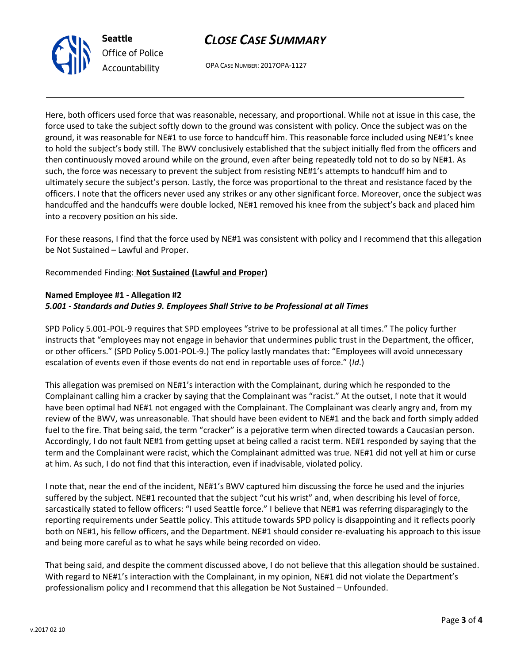



OPA CASE NUMBER: 2017OPA-1127

Here, both officers used force that was reasonable, necessary, and proportional. While not at issue in this case, the force used to take the subject softly down to the ground was consistent with policy. Once the subject was on the ground, it was reasonable for NE#1 to use force to handcuff him. This reasonable force included using NE#1's knee to hold the subject's body still. The BWV conclusively established that the subject initially fled from the officers and then continuously moved around while on the ground, even after being repeatedly told not to do so by NE#1. As such, the force was necessary to prevent the subject from resisting NE#1's attempts to handcuff him and to ultimately secure the subject's person. Lastly, the force was proportional to the threat and resistance faced by the officers. I note that the officers never used any strikes or any other significant force. Moreover, once the subject was handcuffed and the handcuffs were double locked, NE#1 removed his knee from the subject's back and placed him into a recovery position on his side.

For these reasons, I find that the force used by NE#1 was consistent with policy and I recommend that this allegation be Not Sustained – Lawful and Proper.

Recommended Finding: **Not Sustained (Lawful and Proper)**

### **Named Employee #1 - Allegation #2** *5.001 - Standards and Duties 9. Employees Shall Strive to be Professional at all Times*

SPD Policy 5.001-POL-9 requires that SPD employees "strive to be professional at all times." The policy further instructs that "employees may not engage in behavior that undermines public trust in the Department, the officer, or other officers." (SPD Policy 5.001-POL-9.) The policy lastly mandates that: "Employees will avoid unnecessary escalation of events even if those events do not end in reportable uses of force." (*Id*.)

This allegation was premised on NE#1's interaction with the Complainant, during which he responded to the Complainant calling him a cracker by saying that the Complainant was "racist." At the outset, I note that it would have been optimal had NE#1 not engaged with the Complainant. The Complainant was clearly angry and, from my review of the BWV, was unreasonable. That should have been evident to NE#1 and the back and forth simply added fuel to the fire. That being said, the term "cracker" is a pejorative term when directed towards a Caucasian person. Accordingly, I do not fault NE#1 from getting upset at being called a racist term. NE#1 responded by saying that the term and the Complainant were racist, which the Complainant admitted was true. NE#1 did not yell at him or curse at him. As such, I do not find that this interaction, even if inadvisable, violated policy.

I note that, near the end of the incident, NE#1's BWV captured him discussing the force he used and the injuries suffered by the subject. NE#1 recounted that the subject "cut his wrist" and, when describing his level of force, sarcastically stated to fellow officers: "I used Seattle force." I believe that NE#1 was referring disparagingly to the reporting requirements under Seattle policy. This attitude towards SPD policy is disappointing and it reflects poorly both on NE#1, his fellow officers, and the Department. NE#1 should consider re-evaluating his approach to this issue and being more careful as to what he says while being recorded on video.

That being said, and despite the comment discussed above, I do not believe that this allegation should be sustained. With regard to NE#1's interaction with the Complainant, in my opinion, NE#1 did not violate the Department's professionalism policy and I recommend that this allegation be Not Sustained – Unfounded.